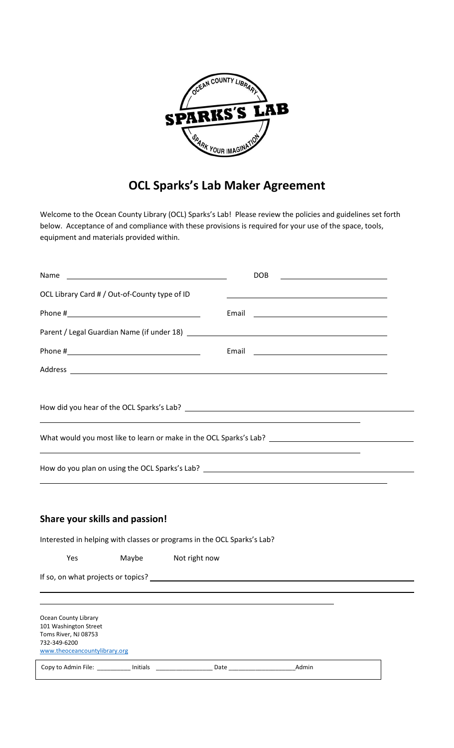

## **OCL Sparks's Lab Maker Agreement**

Welcome to the Ocean County Library (OCL) Sparks's Lab! Please review the policies and guidelines set forth below. Acceptance of and compliance with these provisions is required for your use of the space, tools, equipment and materials provided within.

| Name                                          |                                               | <b>DOB</b>                                                                                                                                                                                                                     |  |
|-----------------------------------------------|-----------------------------------------------|--------------------------------------------------------------------------------------------------------------------------------------------------------------------------------------------------------------------------------|--|
|                                               | OCL Library Card # / Out-of-County type of ID |                                                                                                                                                                                                                                |  |
|                                               |                                               |                                                                                                                                                                                                                                |  |
|                                               |                                               | Parent / Legal Guardian Name (if under 18) Lawrence and the control of the control of the control of the control of the control of the control of the control of the control of the control of the control of the control of t |  |
|                                               |                                               |                                                                                                                                                                                                                                |  |
|                                               |                                               |                                                                                                                                                                                                                                |  |
|                                               |                                               |                                                                                                                                                                                                                                |  |
|                                               |                                               |                                                                                                                                                                                                                                |  |
|                                               |                                               |                                                                                                                                                                                                                                |  |
|                                               |                                               |                                                                                                                                                                                                                                |  |
|                                               |                                               | How do you plan on using the OCL Sparks's Lab? _________________________________                                                                                                                                               |  |
|                                               |                                               |                                                                                                                                                                                                                                |  |
|                                               | Share your skills and passion!                |                                                                                                                                                                                                                                |  |
|                                               |                                               | Interested in helping with classes or programs in the OCL Sparks's Lab?                                                                                                                                                        |  |
| Yes                                           | Maybe                                         | Not right now                                                                                                                                                                                                                  |  |
|                                               |                                               |                                                                                                                                                                                                                                |  |
|                                               |                                               |                                                                                                                                                                                                                                |  |
| Ocean County Library<br>101 Washington Street |                                               |                                                                                                                                                                                                                                |  |

Toms River, NJ 08753 732-349-6200 [www.theoceancountylibrary.org](http://www.theoceancountylibrary.org/) Copy to Admin File: \_\_\_\_\_\_\_\_\_\_ Initials \_\_\_\_\_\_\_\_\_\_\_\_\_\_\_\_\_ Date \_\_\_\_\_\_\_\_\_\_\_\_\_\_\_\_\_\_\_\_Admin